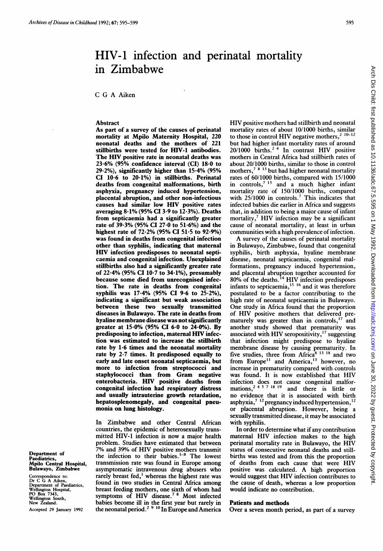# Arch Dis Child: first published as 10.1136/adc.67.5.595 on 1 May 1992. Downloaded from http://adc.bmj.com/ on June 30, 2022 by guest. Protected by copyright Arch Dis Child: first published as 10.1136/adc.67.5.595 on 1 May 1992. Downloaded from <http://adc.bmj.com/> On 100 30, 2022 by guest. Protected by copyright.

# HIV-1 infection and perinatal mortality in Zimbabwe

C G A Aiken

### Abstract

As part of a survey of the causes of perinatal mortality at Mpilo Maternity Hospital, 220 neonatal deaths and the mothers of 221 stillbirths were tested for HIV-1 antibodies. The HIV positive rate in neonatal deaths was 23-6% (95% confidence interval (CI) 18-0 to 29-2%), significantly higher than 15-4% (95% CI 10-6 to 20.1%) in stillbirths. Perinatal deaths from congenital malformations, birth asphyxia, pregnancy induced hypertension, placental abruption, and other non-infectious causes had similar low HIV positive rates averaging 8-1% (95% CI 3-9 to 12-3%). Deaths from septicaemia had a significantly greater rate of 39-3% (95% CI 27-0 to 51-6%) and the highest rate of 72.2% (95% CI 51.5 to 92.9%) was found in deaths from congenital infection other than syphilis, indicating that maternal HIV infection predisposes to neonatal septicaemia and congenital infection. Unexplained stillbirths also had a significantly greater rate of 22-4% (95% CI 10\*7 to 34-1%), presumably because some died from unrecognised infection. The rate in deaths from congenital syphilis was 17-4% (95% CI 9-6 to 25-2%), indicating a significant but weak association between these two sexually transmitted diseases in Bulawayo. The rate in deaths from hyaline membrane disease was not significantly greater at 15-0% (95% CI 6-0 to 24-0%). By predisposing to infection, maternal HIV infection was estimated to increase the stillbirth rate by 1-6 times and the neonatal mortality rate by 2-7 times. It predisposed equally to early and late onset neonatal septicaemia, but more to infection from streptococci and staphylococci than from Gram negative enterobacteria. HIV positive deaths from congenital infection had respiratory distress and usually intrauterine growth retardation, hepatosplenomegaly, and congenital pneumonia on lung histology.

In Zimbabwe and other Central African countries, the epidemic of heterosexually transmitted HIV-1 infection is now a major health problem. Studies have estimated that between 7% and 39% of HIV positive mothers transmit the infection to their babies. $1-8$  The lowest transmission rate was found in Europe among asymptomatic intravenous drug abusers who rarely breast fed,<sup>1</sup> whereas the highest rate was found in two studies in Central Africa among breast feeding mothers, one sixth of whom had symptoms of HIV disease.<sup>78</sup> Most infected babies become ill in the first year but rarely in the neonatal period.<sup>29</sup><sup>10</sup> In Europe and America

HIV positive mothers had stillbirth and neonatal mortality rates of about 10/1000 births, similar to those in control HIV negative mothers,<sup>2</sup>  $10-12$ but had higher infant mortality rates of around  $20/1000$  births.<sup>24</sup> In contrast HIV positive mothers in Central Africa had stillbirth rates of about 20/1000 births, similar to those in control mothers,<sup>78 13</sup> but had higher neonatal mortality rates of 60/1000 births, compared with 15/1000 in controls,<sup>7 13</sup> and a much higher infant mortality rate of 150/1000 births, compared with 25/1000 in controls.<sup>7</sup> This indicates that infected babies die earlier in Africa and suggests that, in addition to being a major cause of infant mortality, $<sup>7</sup>$  HIV infection may be a significant</sup> cause of neonatal mortality, at least in urban communities with a high prevalence of infection.

A survey of the causes of perinatal mortality in Bulawayo, Zimbabwe, found that congenital syphilis, birth asphyxia, hyaline membrane disease, neonatal septicaemia, congenital malformations, pregnancy induced hypertension, and placental abruption together accounted for  $80\%$  of the deaths.<sup>14</sup> HIV infection predisposes infants to septicaemia, $15 \frac{16}{16}$  and it was therefore postulated to be a factor contributing to the high rate of neonatal septicaemia in Bulawayo. One study in Africa found that the proportion of HIV positive mothers that delivered pre-<br>maturely was greater than in controls,<sup>17</sup> and maturely was greater than in controls,<sup>17</sup> another study showed that prematurity was associated with HIV seropositivity,<sup>17</sup> suggesting that infection might predispose to hyaline membrane disease by causing prematurity. In five studies, three from Africa<sup>8 13</sup> <sup>18</sup> and two from Europe<sup>11</sup> and America,<sup>13</sup> however, no increase in prematurity compared with controls was found. It is now established that HIV infection does not cause congenital malfor-<br>mations,  $2^{4.5}$   $7^{18.19}$  and there is little or no evidence that it is associated with birth asphyxia, $7^{12}$  pregnancy induced hypertension,<sup>12</sup> or placental abruption. However, being a sexually transmitted disease, it may be associated with syphilis.

In order to determine what if any contribution maternal HIV infection makes to the high perinatal mortality rate in Bulawayo, the HIV status of consecutive neonatal deaths and stillbirths was tested and from this the proportion of deaths from each cause that were HIV positive was calculated. A high proportion would suggest that HIV infection contributes to the cause of death, whereas a low proportion would indicate no contribution.

# Patients and methods

Over a seven month period, as part of a survey

Department of Paediatrics, Mpilo Central Hospital, Bulawayo, Zimbabwe

Correspondence to:<br>Department of Paediatrics,<br>Neplington Hospital,<br>PO Box 7343,<br>Wellington South,<br>Wellington South,<br>New Zealand. Accepted 29 January 1992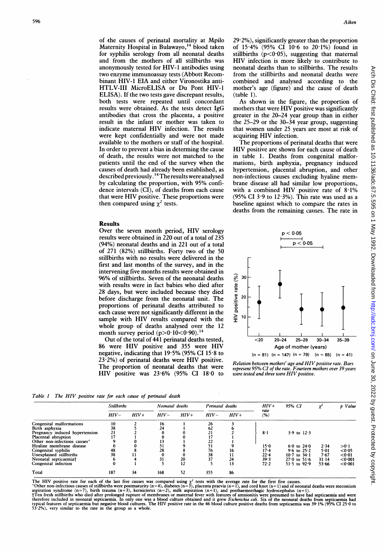of the causes of perinatal mortality at Mpilo Maternity Hospital in Bulawayo,<sup>14</sup> blood taken for syphilis serology from all neonatal deaths and from the mothers of all stillbirths was anonymously tested for HIV-1 antibodies using two enzyme immunoassay tests (Abbott Recombinant HIV-1 EIA and either Vironostika anti-HTLV-III MicroELISA or Du Pont HIV-1 ELISA). If the two tests gave discrepant results, both tests were repeated until concordant results were obtained. As the tests detect IgG antibodies that cross the placenta, a positive result in the infant or mother was taken to indicate maternal HIV infection. The results were kept confidentially and were not made available to the mothers or staff of the hospital. In order to prevent a bias in determing the cause of death, the results were not matched to the patients until the end of the survey when the causes of death had already been established, as described previously. <sup>14</sup> The results were analysed by calculating the proportion, with 95% confidence intervals (CI), of deaths from each cause that were HIV positive. These proportions were then compared using  $\chi^2$  tests.

### Results

Over the seven month period, HIV serology results were obtained in 220 out of a total of 235 (94%) neonatal deaths and in 221 out of a total of 271 (82%) stillbirths. Forty two of the 50 stillbirths with no results were delivered in the first and last months of the survey, and in the intervening five months results were obtained in 96% of stillbirths. Seven of the neonatal deaths with results were in fact babies who died after 28 days, but were included because they died before discharge from the neonatal unit. The proportions of perinatal deaths attributed to each cause were not significantly different in the sample with HIV results compared with the whole group of deaths analysed over the 12 month survey period  $(p>0.10<0.90)$ .<sup>14</sup>

Out of the total of 441 perinatal deaths tested, 86 were HIV positive and 355 were HIV negative, indicating that 19-5% (95% CI 15-8 to  $23.2\%$ ) of perinatal deaths were HIV positive. The proportion of neonatal deaths that were HIV positive was 23-6% (95% CI 18-0 to  $29.2\%$ ), significantly greater than the proportion of 15-4% (95% CI 106 to 201%) found in stillbirths  $(p<0.05)$ , suggesting that maternal HIV infection is more likely to contribute to neonatal deaths than to stillbirths. The results from the stillbirths and neonatal deaths were combined and analysed according to the mother's age (figure) and the cause of death  $(table 1)$ .

As shown in the figure, the proportion of mothers that were HIV positive was significantly greater in the 20-24 year group than in either the 25-29 or the 30-34 year group, suggesting that women under 25 years are most at risk of acquiring HIV infection.

The proportions of perinatal deaths that were HIV positive are shown for each cause of death in table 1. Deaths from congenital malformations, birth asphyxia, pregnancy induced hypertension, placental abruption, and other non-infectious causes excluding hyaline membrane disease all had similar low proportions, with a combined HIV positive rate of 8.1% (95% CI 3.9 to  $12.3\%$ ). This rate was used as a baseline against which to compare the rates in deaths from the remaining causes. The rate in



 $(n = 81)$   $(n = 147)$   $(n = 79)$   $(n = 65)$   $(n = 41)$ 

Relation between mothers' age and HIV positive rate. Bars represent 95% CI of the rate. Fourteen mothers over 39 years<br>were tested and three were HIV positive.

Table <sup>I</sup> The HIV positive rate for each cause of perinatal death

|                                | <b>Stillbirths</b> |        | Neonatal deaths |        | Perinatal deaths |        | $HIV+$      | 95% CI           |           | p Value |
|--------------------------------|--------------------|--------|-----------------|--------|------------------|--------|-------------|------------------|-----------|---------|
|                                | $HIV-$             | $HIV+$ | $HIV-$          | $HIV+$ | $HIV-$           | $HIV+$ | rate<br>(%) |                  |           |         |
| Congenital malformations       | 10                 |        | 16              |        | 26               |        |             |                  |           |         |
| Birth asphyxia                 | 38                 |        | 24              |        | 62               |        |             |                  |           |         |
| Pregnancy induced hypertension | 21                 |        |                 |        | 21               |        | $8 - 1$     | $3.9$ to $12.3$  |           |         |
| Placental abruption            | 17                 |        |                 |        |                  |        |             |                  |           |         |
| Other non-infectious causes*   |                    |        | 15              |        | 22               |        |             |                  |           |         |
| Hyaline membrane disease       |                    |        | 51              |        |                  |        | $15-0$      | $6.0$ to $24.0$  | 2.34      | >0.1    |
| Congenital syphilis            | 48                 |        | 28              |        | 76               | 16     | $17 - 4$    | 9.6 to $25.2$    | 5.01      | < 0.05  |
| Unexplained stillbirths        | 38                 |        |                 |        | 38               | 11     | $22 - 4$    | $10.7$ to $34.1$ | 7.67      | < 0.01  |
| Neonatal septicaemia†          |                    |        | 31              | 20     | 37               | 24     | 39.3        | $27.0$ to $51.6$ | $31 - 14$ | < 0.001 |
| Congenital infection           |                    |        |                 | 12     |                  | 13     | 72.2        | $51.5$ to $92.9$ | 53.66     | < 0.001 |
| <b>Total</b>                   | 187                | 34     | 168             | 52     | 355              | 86     |             |                  |           |         |

The HIV positive rate for each of the last five causes was compared using  $\chi^2$  tests with the average rate for the first five causes.<br>"Other non-infectious causes of stillbirths were postmaturity (n=4), diabetes (n=3),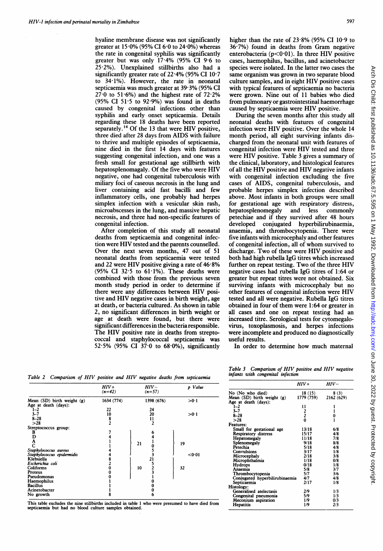hyaline membrane disease was not significantly greater at  $15.0\%$  (95% CI 6.0 to 24.0%) whereas the rate in congenital syphilis was significantly greater but was only 17-4% (95% CI 9-6 to 25 2%). Unexplained stillbirths also had a significantly greater rate of 22-4% (95% CI 10-7 to 34.1%). However, the rate in neonatal septicaemia was much greater at 39 3% (95% CI  $27.0$  to 51.6%) and the highest rate of  $72.2\%$ (95% CI 51.5 to 92.9%) was found in deaths caused by congenital infections other than syphilis and early onset septicaemia. Details regarding these 18 deaths have been reported separately.<sup>14</sup> Of the 13 that were HIV positive, three died after 28 days from AIDS with failure to thrive and multiple episodes of septicaemia, nine died in the first 14 days with features suggesting congenital infection, and one was a fresh small for gestational age stillbirth with hepatosplenomagaly. Of the five who were HIV negative, one had congenital tuberculosis with miliary foci of caseous necrosis in the lung and liver containing acid fast bacilli and few inflammatory cells, one probably had herpes simplex infection with a vesicular skin rash, microabscesses in the lung, and massive hepatic necrosis, and three had non-specific features of congenital infection.

After completion of this study all neonatal deaths from septicaemia and congenital infection were HIV tested and the parents counselled. Over the next seven months, 47 out of 51 neonatal deaths from septicaemia were tested and 22 were HIV positive giving <sup>a</sup> rate of 46-8% (95% CI 32 5 to 61-1%). These deaths were combined with those from the previous seven month study period in order to determine if there were any differences between HIV positive and HIV negative cases in birth weight, age at death, or bacteria cultured. As shown in table 2, no significant differences in birth weight or age at death were found, but there were significant differences in the bacteria responsible. The HIV positive rate in deaths from streptococcal and staphylococcal septicaemia was 52.5% (95% CI  $37.0$  to  $68.0\%$ ), significantly

higher than the rate of 23-8% (95% CI 10-9 to 36-7%) found in deaths from Gram negative enterobacteria ( $p$ <0.01). In three HIV positive cases, haemophilus, bacillus, and acinetobacter species were isolated. In the latter two cases the same organism was grown in two separate blood culture samples, and in eight HIV positive cases with typical features of septicaemia no bacteria were grown. Nine out of <sup>11</sup> babies who died from pulmonary or gastrointestinal haemorrhage caused by septicaemia were HIV positive.

During the seven months after this study all neonatal deaths with features of congenital infection were HIV positive. Over the whole <sup>14</sup> month period, all eight surviving infants discharged from the neonatal unit with features of congenital infection were HIV tested and three were HIV positive. Table <sup>3</sup> gives <sup>a</sup> summary of the clinical, laboratory, and histological features of all the HIV positive and HIV negative infants with congenital infection excluding the five cases of AIDS, congenital tuberculosis, and probable herpes simplex infection described above. Most infants in both groups were small for gestational age with respiratory distress, hepatosplenomegaly and less commonly petechiae and if they survived after 48 hours conjugated hyperbilirubinaemia, anaemia, and thrombocytopenia. There were five infants with microcephaly and other features of congenital infection, all of whom survived to discharge. Two of these were HIV positive and both had high rubella IgG titres which increased further on repeat testing. Two of the three HIV negative cases had rubella IgG titres of 1:64 or greater but repeat titres were not obtained. Six surviving infants with microcephaly but no other features of congenital infection were HIV tested and all were negative. Rubella IgG titres obtained in four of them were 1:64 or greater in all cases and one on repeat testing had an increased titre. Serological tests for cytomegalovirus, toxoplasmosis, and herpes infections were incomplete and produced no diagnostically useful results.

In order to determine how much maternal

Table <sup>2</sup> Comparison of HIV positive and HIV negative deaths from septicaemia

| p Value |
|---------|
| >0.1    |
|         |
| >0.1    |
|         |
|         |
|         |
|         |
|         |
|         |
| 19      |
|         |
| < 0.01  |
|         |
|         |
|         |
|         |
|         |
|         |
|         |
|         |
|         |
| 32      |

This table excludes the nine stillbirths included in table <sup>1</sup> who were presumed to have died from septicaemia but had no blood culture samples obtained.

Table 3 Comparison of HIV positive and HIV negative infants with congenital infection

|                                | $HIV+$        | HIV-       |
|--------------------------------|---------------|------------|
| No (No who died)               | 18 (15)       | 8(3)       |
| Mean $(SD)$ birth weight $(g)$ | 1779 (759)    | 2162 (629) |
| Age at death (days):           |               |            |
| $1 - 2$                        | 11            | l          |
| $3 - 7$                        |               | ı          |
| $8 - 28$                       | $\frac{2}{0}$ | 0          |
| >28                            |               | 1          |
| Features:                      |               |            |
| Small for gestational age      | 13/18         | 6/8        |
| <b>Respiratory distress</b>    | 15/17         | 4/8        |
| Hepatomegaly                   | 11/18         | 7/8        |
| Splenomegaly                   | 9/18          | 8/8        |
| Petechia                       | 5/18          | 4/8        |
| Convulsions                    | 3/17          | 1/8        |
| Microcephaly                   | 2/18          | 3/8        |
| Microphthalmia                 | 1/18          | 0/8        |
| Hydrops                        | 0/18          | 1/8        |
| Anaemia                        | 5/8           | 3/7        |
| Thrombocytopenia               | 5/7           | 3/6        |
| Conjugated hyperbilirubinaemia | 4/7           | 4/8        |
| Septicaemia                    | 2/17          | 1/8        |
| Histology:                     |               |            |
| Generalised atelectasis        | 2/9           | 1/3        |
| Congenital pneumonia           | 5/9           | 1/3        |
| Meconium aspiration            | 1/9           | 0/3        |
| Hepatitis                      | 1/9           | 2/3        |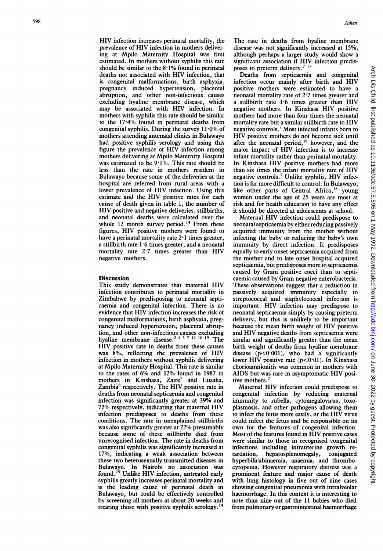HIV infection increases perinatal mortality, the prevalence of HIV infection in mothers delivering at Mpilo Maternity Hospital was first estimated. In mothers without syphilis this rate should be similar to the <sup>8</sup> 1% found in perinatal deaths not associated with HIV infection, that is congenital malformations, birth asphyxia, pregnancy induced hypertension, placental abruption, and other non-infectious causes excluding hyaline membrane disease, which may be associated with HIV infection. In mothers with syphilis this rate should be similar to the 17-4% found in perinatal deaths from congenital syphilis. During the survey  $11.0\%$  of mothers attending antenatal clinics in Bulawayo had positive syphilis serology and using this figure the prevalence of HIV infection among mothers delivering at Mpilo Maternity Hospital was estimated to be 9-1%. This rate should be less than the rate in mothers resident in Bulawayo because some of the deliveries at the hospital are referred from rural areas with a lower prevalence of HIV infection. Using this estimate and the HIV positive rates for each cause of death given in table 1, the number of HIV positive and negative deliveries, stillbirths, and neonatal deaths were calculated over the whole 12 month survey period.<sup>14</sup> From these figures, HIV positive mothers were found to have a perinatal mortality rate 2<sup>.</sup> I times greater, a stillbirth rate 1-6 times greater, and a neonatal mortality rate 2-7 times greater than HIV negative mothers.

## **Discussion**

This study demonstrates that maternal HIV infection contributes to perinatal mortality in Zimbabwe by predisposing to neonatal septicaemia and congenital infection. There is no evidence that HIV infection increases the risk of congenital malformations, birth asphyxia, pregnancy induced hypertension, placental abruption, and other non-infectious causes excluding hyaline membrane disease.<sup>243/1218</sup> <sup>19</sup> The HIV positive rate in deaths from these causes was 8%, reflecting the prevalence of HIV infection in mothers without syphilis delivering at Mpilo Maternity Hospital. This rate is similar to the rates of 6% and 12% found in 1987 in mothers in Kinshasa, Zaire<sup>7</sup> and Lusaka, Zambia<sup>8</sup> respectively. The HIV positive rate in deaths from neonatal septicaemia and congenital infection was significantly greater at 39% and 72% respectively, indicating that maternal HIV infection predisposes to deaths from these conditions. The rate in unexplained stillbirths was also significantly greater at 22% presumably because some of these stillbirths died from unrecognised infection. The rate in deaths from congenital syphilis was significantly increased at 17%, indicating a weak association between these two heterosexually transmitted diseases in Bulawayo. In Nairobi no association was found.'9 Unlike HIV infection, untreated early syphilis greatly increases perinatal mortality and is the leading cause of perinatal death in Bulawayo, but could be effectively controlled by screening all mothers at about 20 weeks and treating those with positive syphilis serology.<sup>1</sup>

The rate in deaths from hyaline membrane disease was not significantly increased at 15%, although perhaps a larger study would show a significant association if HIV infection predisposes to preterm delivery.<sup>7 17</sup>

Deaths from septicaemia and congenital infection occur mainly after birth and HIV positive mothers were estimated to have a neonatal mortality rate of 2-7 times greater and <sup>a</sup> stillbirth rate <sup>1</sup> <sup>6</sup> times greater than HIV negative mothers. In Kinshasa HIV positive mothers had more than four times the neonatal mortality rate but <sup>a</sup> similar stillbirth rate to HIV negative controls.7 Most infected infants born to HIV positive mothers do not become sick until after the neonatal period,<sup>18</sup> however, and the major impact of HIV infection is to increase infant mortality rather than perinatal mortality. In Kinshasa HIV positive mothers had more than six times the infant mortality rate of HIV negative controls.7 Unlike syphilis, HIV infection is far more difficult to control. In Bulawayo, like other parts of Central Africa,<sup>18</sup> young women under the age of 25 years are most at risk and for health education to have any effect it should be directed at adolescents at school.

Maternal HIV infection could predispose to neonatal septicaemia by either reducing passively acquired immunity from the mother without infecting the baby or reducing the baby's own immunity by direct infection. It predisposes equally to early onset septicaemia acquired from the mother and to late onset hospital acquired septicaemia, but predisposes more to septicaemia caused by Gram positive cocci than to septicaemia caused by Gram negative enterobacteria. These observations suggest that a reduction in passively acquired immunity especially to streptococcal and staphylococcal infection is important. HIV infection may predispose to neonatal septicaemia simply by causing preterm delivery, but this is unlikely to be important because the mean birth weight of HIV positive and HIV negative deaths from septicaemia were similar and significantly greater than the mean birth weight of deaths from hyaline membrane disease  $(p<0.001)$ , who had a significantly lower HIV positive rate  $(p<0.01)$ . In Kinshasa chorioamnionitis was common in mothers with AIDS but was rare in asymptomatic HIV positive mothers.<sup>7</sup>

Maternal HIV infection could predispose to congenital infection by reducing maternal immunity to rubella, cytomegalovirus, toxoplasmosis, and other pathogens allowing them to infect the fetus more easily, or the HIV virus could infect the fetus and be responsible on its own for the features of congenital infection. Most of the features found in HIV positive cases were similar to those in recognised congenital infections including intrauterine growth rehepatosplenomegaly, conjugated hyperbilirubinaemia, anaemia, and thrombocytopenia. However respiratory distress was a prominent feature and major cause of death with lung histology in five out of nine cases showing congenital pneumonia with intralveolar haemorrhage. In this context it is interesting to note than nine out of the <sup>11</sup> babies who died from pulmonary or gastrointestinal haemorrhage